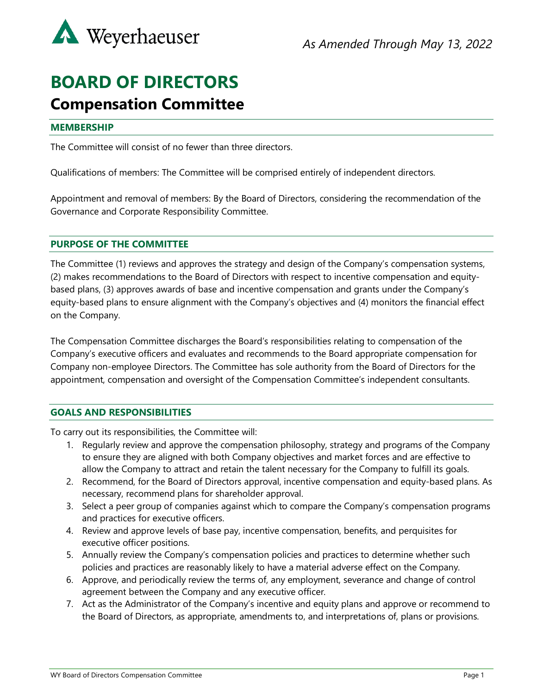

# **BOARD OF DIRECTORS**

# **Compensation Committee**

## **MEMBERSHIP**

The Committee will consist of no fewer than three directors.

Qualifications of members: The Committee will be comprised entirely of independent directors.

Appointment and removal of members: By the Board of Directors, considering the recommendation of the Governance and Corporate Responsibility Committee.

## **PURPOSE OF THE COMMITTEE**

The Committee (1) reviews and approves the strategy and design of the Company's compensation systems, (2) makes recommendations to the Board of Directors with respect to incentive compensation and equitybased plans, (3) approves awards of base and incentive compensation and grants under the Company's equity-based plans to ensure alignment with the Company's objectives and (4) monitors the financial effect on the Company.

The Compensation Committee discharges the Board's responsibilities relating to compensation of the Company's executive officers and evaluates and recommends to the Board appropriate compensation for Company non-employee Directors. The Committee has sole authority from the Board of Directors for the appointment, compensation and oversight of the Compensation Committee's independent consultants.

## **GOALS AND RESPONSIBILITIES**

To carry out its responsibilities, the Committee will:

- 1. Regularly review and approve the compensation philosophy, strategy and programs of the Company to ensure they are aligned with both Company objectives and market forces and are effective to allow the Company to attract and retain the talent necessary for the Company to fulfill its goals.
- 2. Recommend, for the Board of Directors approval, incentive compensation and equity-based plans. As necessary, recommend plans for shareholder approval.
- 3. Select a peer group of companies against which to compare the Company's compensation programs and practices for executive officers.
- 4. Review and approve levels of base pay, incentive compensation, benefits, and perquisites for executive officer positions.
- 5. Annually review the Company's compensation policies and practices to determine whether such policies and practices are reasonably likely to have a material adverse effect on the Company.
- 6. Approve, and periodically review the terms of, any employment, severance and change of control agreement between the Company and any executive officer.
- 7. Act as the Administrator of the Company's incentive and equity plans and approve or recommend to the Board of Directors, as appropriate, amendments to, and interpretations of, plans or provisions.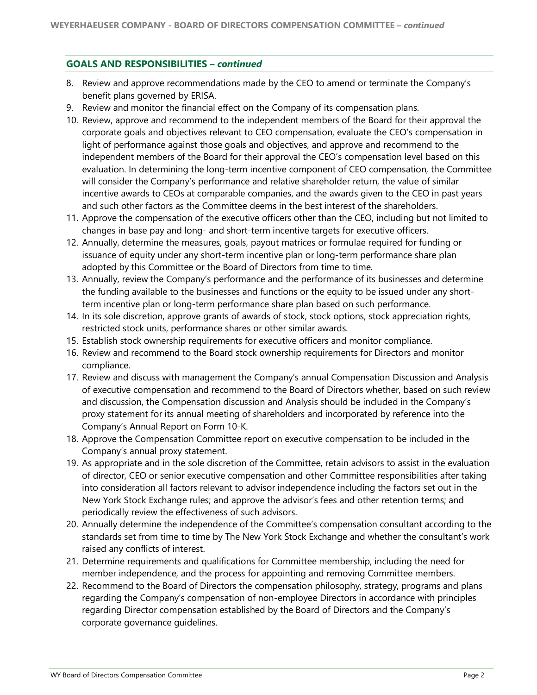#### **GOALS AND RESPONSIBILITIES –** *continued*

- 8. Review and approve recommendations made by the CEO to amend or terminate the Company's benefit plans governed by ERISA.
- 9. Review and monitor the financial effect on the Company of its compensation plans.
- 10. Review, approve and recommend to the independent members of the Board for their approval the corporate goals and objectives relevant to CEO compensation, evaluate the CEO's compensation in light of performance against those goals and objectives, and approve and recommend to the independent members of the Board for their approval the CEO's compensation level based on this evaluation. In determining the long-term incentive component of CEO compensation, the Committee will consider the Company's performance and relative shareholder return, the value of similar incentive awards to CEOs at comparable companies, and the awards given to the CEO in past years and such other factors as the Committee deems in the best interest of the shareholders.
- 11. Approve the compensation of the executive officers other than the CEO, including but not limited to changes in base pay and long- and short-term incentive targets for executive officers.
- 12. Annually, determine the measures, goals, payout matrices or formulae required for funding or issuance of equity under any short-term incentive plan or long-term performance share plan adopted by this Committee or the Board of Directors from time to time.
- 13. Annually, review the Company's performance and the performance of its businesses and determine the funding available to the businesses and functions or the equity to be issued under any shortterm incentive plan or long-term performance share plan based on such performance.
- 14. In its sole discretion, approve grants of awards of stock, stock options, stock appreciation rights, restricted stock units, performance shares or other similar awards.
- 15. Establish stock ownership requirements for executive officers and monitor compliance.
- 16. Review and recommend to the Board stock ownership requirements for Directors and monitor compliance.
- 17. Review and discuss with management the Company's annual Compensation Discussion and Analysis of executive compensation and recommend to the Board of Directors whether, based on such review and discussion, the Compensation discussion and Analysis should be included in the Company's proxy statement for its annual meeting of shareholders and incorporated by reference into the Company's Annual Report on Form 10-K.
- 18. Approve the Compensation Committee report on executive compensation to be included in the Company's annual proxy statement.
- 19. As appropriate and in the sole discretion of the Committee, retain advisors to assist in the evaluation of director, CEO or senior executive compensation and other Committee responsibilities after taking into consideration all factors relevant to advisor independence including the factors set out in the New York Stock Exchange rules; and approve the advisor's fees and other retention terms; and periodically review the effectiveness of such advisors.
- 20. Annually determine the independence of the Committee's compensation consultant according to the standards set from time to time by The New York Stock Exchange and whether the consultant's work raised any conflicts of interest.
- 21. Determine requirements and qualifications for Committee membership, including the need for member independence, and the process for appointing and removing Committee members.
- 22. Recommend to the Board of Directors the compensation philosophy, strategy, programs and plans regarding the Company's compensation of non-employee Directors in accordance with principles regarding Director compensation established by the Board of Directors and the Company's corporate governance guidelines.